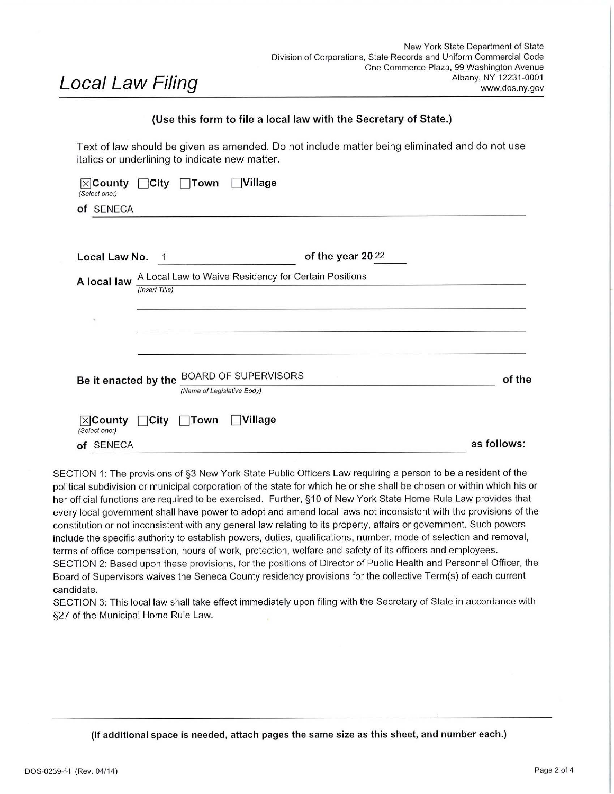# Local Law Filing

## **(Use this form to file a local law with the Secretary of State.)**

Text of law should be given as amended. Do not include matter being eliminated and do not use italics or underlining to indicate new matter.

| <b>Nillage</b><br>$\Box$ Town<br>$\boxtimes$ County $\Box$ City<br>(Select one:)      |                  |             |
|---------------------------------------------------------------------------------------|------------------|-------------|
| of SENECA                                                                             |                  |             |
| Local Law No.<br>$\overline{1}$                                                       | of the year 2022 |             |
| A Local Law to Waive Residency for Certain Positions<br>A local law<br>(Insert Title) |                  |             |
| $\mathcal{R}$                                                                         |                  |             |
| <b>BOARD OF SUPERVISORS</b><br>Be it enacted by the<br>(Name of Legislative Body)     |                  | of the      |
| <b>OVillage</b><br>$\boxtimes$ County<br>$\Box$ City<br>Town<br>(Select one:)         |                  |             |
| of SENECA                                                                             |                  | as follows: |

SECTION 1: The provisions of §3 New York State Public Officers Law requiring a person to be a resident of the political subdivision or municipal corporation of the state for which he or she shall be chosen or within which his or her official functions are required to be exercised. Further, §10 of New York State Home Rule Law provides that every local government shall have power to adopt and amend local laws not inconsistent with the provisions of the constitution or not inconsistent with any general law relating to its property, affairs or government. Such powers include the specific authority to establish powers, duties, qualifications, number, mode of selection and removal, terms of office compensation, hours of work, protection, welfare and safety of its officers and employees. SECTION 2: Based upon these provisions, for the positions of Director of Public Health and Personnel Officer, the Board of Supervisors waives the Seneca County residency provisions for the collective Term(s) of each current candidate.

SECTION 3: This local law shall take effect immediately upon filing with the Secretary of State in accordance with §27 of the Municipal Home Rule Law.

**(If additional space is needed, attach pages the same size as this sheet, and number each.)**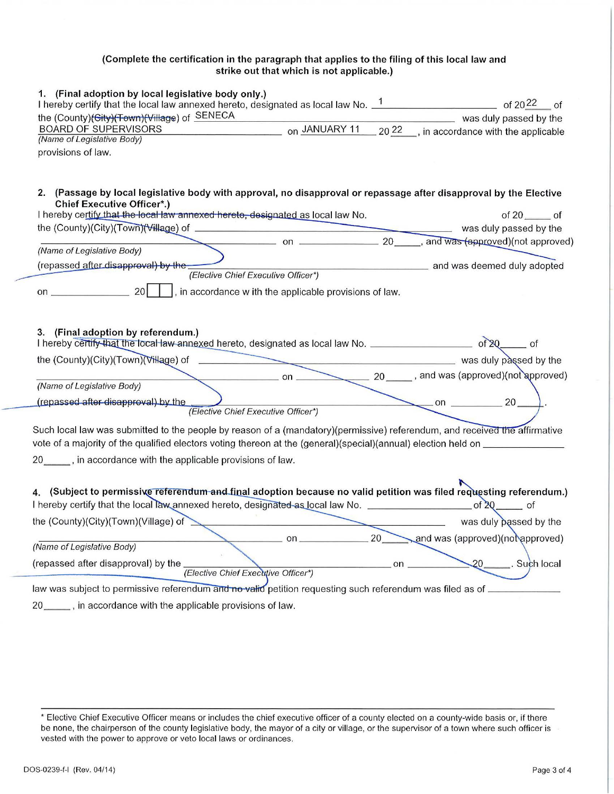### (Complete the certification in the paragraph that applies to the filing of this local law and strike out that which is not applicable.)

| 1. (Final adoption by local legislative body only.)<br>the (County)(Gity)(Town)(Village) of SENECA                                                                                                                                                                                 |     | was duly passed by the           |
|------------------------------------------------------------------------------------------------------------------------------------------------------------------------------------------------------------------------------------------------------------------------------------|-----|----------------------------------|
| on JANUARY 11 2022, in accordance with the applicable<br><b>BOARD OF SUPERVISORS</b>                                                                                                                                                                                               |     |                                  |
| (Name of Legislative Body)                                                                                                                                                                                                                                                         |     |                                  |
| provisions of law.                                                                                                                                                                                                                                                                 |     |                                  |
|                                                                                                                                                                                                                                                                                    |     |                                  |
| 2. (Passage by local legislative body with approval, no disapproval or repassage after disapproval by the Elective                                                                                                                                                                 |     |                                  |
| <b>Chief Executive Officer*.)</b><br>I hereby certify that the local law annexed hereto, designated as local law No.                                                                                                                                                               |     | of $20$ _______ of               |
|                                                                                                                                                                                                                                                                                    |     |                                  |
| on $\frac{20}{\sqrt{100}}$ , and was $\frac{4}{\sqrt{100}}$ (not approved)                                                                                                                                                                                                         |     |                                  |
| (Name of Legislative Body)                                                                                                                                                                                                                                                         |     |                                  |
| (repassed after disapproval) by the-<br>(Elective Chief Executive Officer*)                                                                                                                                                                                                        |     | and was deemed duly adopted      |
| , in accordance w ith the applicable provisions of law.                                                                                                                                                                                                                            |     |                                  |
|                                                                                                                                                                                                                                                                                    |     |                                  |
| 3. (Final adoption by referendum.)<br>I hereby certify that the local law annexed hereto, designated as local law No. _______________________ of 20______ of<br>the (County)(City)(Town)(Village) of was duly passed by the was duly passed by the was duly passed by the county). |     |                                  |
| (Name of Legislative Body)                                                                                                                                                                                                                                                         |     |                                  |
| (repassed after disapproval) by the<br>(Elective Chief Executive Officer*)                                                                                                                                                                                                         |     | $\sim$ on $\sim$ 20              |
| Such local law was submitted to the people by reason of a (mandatory)(permissive) referendum, and received the affirmative                                                                                                                                                         |     |                                  |
| vote of a majority of the qualified electors voting thereon at the (general)(special)(annual) election held on                                                                                                                                                                     |     |                                  |
| 20 _____, in accordance with the applicable provisions of law.                                                                                                                                                                                                                     |     |                                  |
|                                                                                                                                                                                                                                                                                    |     |                                  |
| 4. (Subject to permissive referendum and final adoption because no valid petition was filed requesting referendum.)<br>I hereby certify that the local law annexed hereto, designated as local law No. ___________________                                                         |     | $of 20$ of                       |
| the (County)(City)(Town)(Village) of                                                                                                                                                                                                                                               |     | was duly passed by the           |
| on.                                                                                                                                                                                                                                                                                | 20  | and was (approved)(not approved) |
| (Name of Legislative Body)                                                                                                                                                                                                                                                         |     |                                  |
| (repassed after disapproval) by the<br>(Elective Chief Executive Officer*)                                                                                                                                                                                                         | on. | 20<br>Such local                 |
| law was subject to permissive referendum and no valid petition requesting such referendum was filed as of _                                                                                                                                                                        |     |                                  |
| 20 ______, in accordance with the applicable provisions of law.                                                                                                                                                                                                                    |     |                                  |

<sup>\*</sup> Elective Chief Executive Officer means or includes the chief executive officer of a county elected on a county-wide basis or, if there be none, the chairperson of the county legislative body, the mayor of a city or village, or the supervisor of a town where such officer is vested with the power to approve or veto local laws or ordinances.